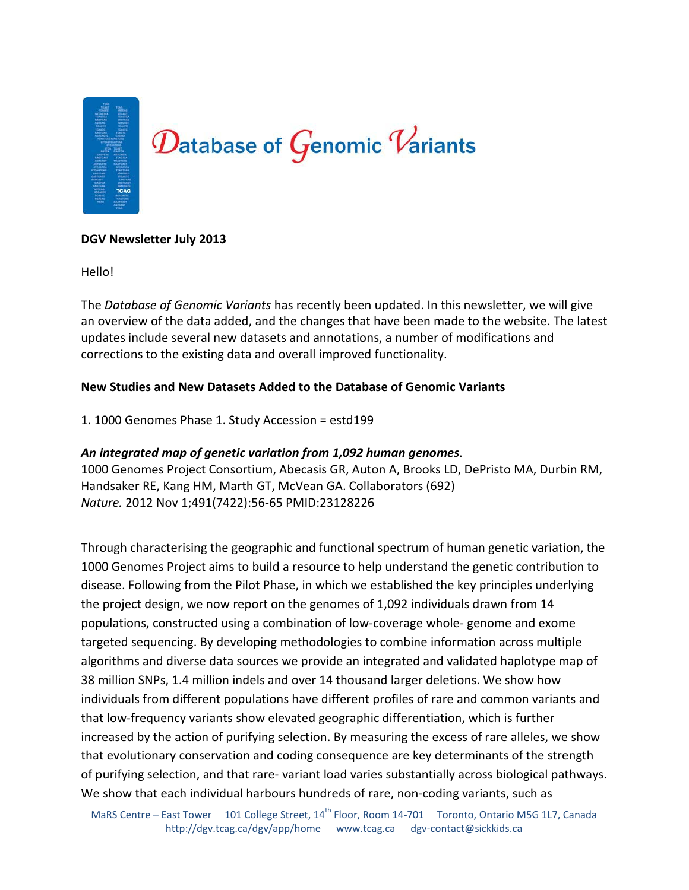

### **DGV Newsletter July 2013**

Hello!

The *Database of Genomic Variants* has recently been updated. In this newsletter, we will give an overview of the data added, and the changes that have been made to the website. The latest updates include several new datasets and annotations, a number of modifications and corrections to the existing data and overall improved functionality.

### **New Studies and New Datasets Added to the Database of Genomic Variants**

1. 1000 Genomes Phase 1. Study Accession = estd199

### *An integrated map of genetic variation from 1,092 human genomes*.

1000 Genomes Project Consortium, Abecasis GR, Auton A, Brooks LD, DePristo MA, Durbin RM, Handsaker RE, Kang HM, Marth GT, McVean GA. Collaborators (692) *Nature.* 2012 Nov 1;491(7422):56-65 PMID:23128226

Through characterising the geographic and functional spectrum of human genetic variation, the 1000 Genomes Project aims to build a resource to help understand the genetic contribution to disease. Following from the Pilot Phase, in which we established the key principles underlying the project design, we now report on the genomes of 1,092 individuals drawn from 14 populations, constructed using a combination of low-coverage whole- genome and exome targeted sequencing. By developing methodologies to combine information across multiple algorithms and diverse data sources we provide an integrated and validated haplotype map of 38 million SNPs, 1.4 million indels and over 14 thousand larger deletions. We show how individuals from different populations have different profiles of rare and common variants and that low-frequency variants show elevated geographic differentiation, which is further increased by the action of purifying selection. By measuring the excess of rare alleles, we show that evolutionary conservation and coding consequence are key determinants of the strength of purifying selection, and that rare- variant load varies substantially across biological pathways. We show that each individual harbours hundreds of rare, non-coding variants, such as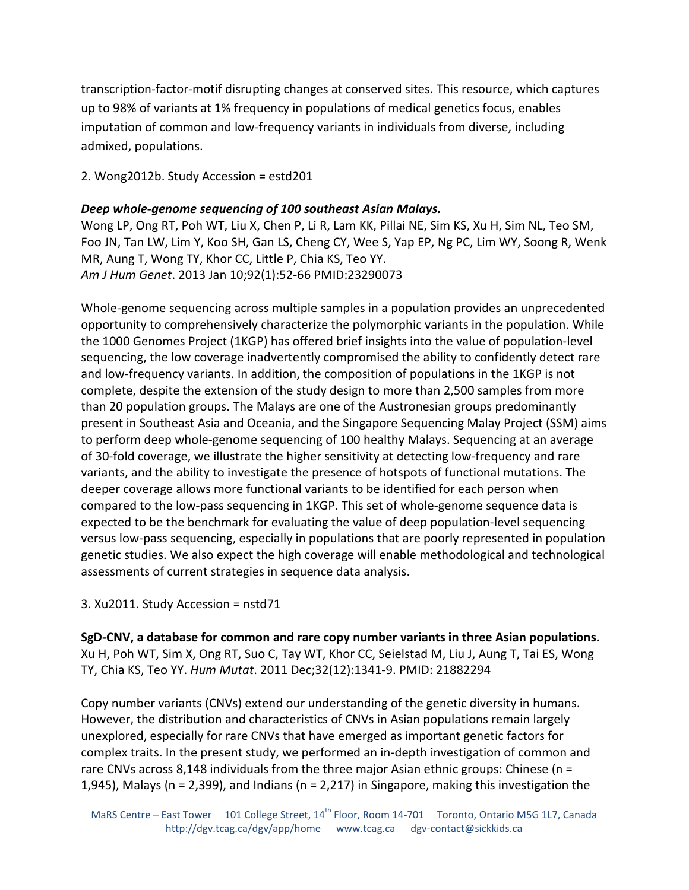transcription-factor-motif disrupting changes at conserved sites. This resource, which captures up to 98% of variants at 1% frequency in populations of medical genetics focus, enables imputation of common and low-frequency variants in individuals from diverse, including admixed, populations.

2. Wong2012b. Study Accession = estd201

# *Deep whole-genome sequencing of 100 southeast Asian Malays.*

Wong LP, Ong RT, Poh WT, Liu X, Chen P, Li R, Lam KK, Pillai NE, Sim KS, Xu H, Sim NL, Teo SM, Foo JN, Tan LW, Lim Y, Koo SH, Gan LS, Cheng CY, Wee S, Yap EP, Ng PC, Lim WY, Soong R, Wenk MR, Aung T, Wong TY, Khor CC, Little P, Chia KS, Teo YY. *Am J Hum Genet*. 2013 Jan 10;92(1):52-66 PMID:23290073

Whole-genome sequencing across multiple samples in a population provides an unprecedented opportunity to comprehensively characterize the polymorphic variants in the population. While the 1000 Genomes Project (1KGP) has offered brief insights into the value of population-level sequencing, the low coverage inadvertently compromised the ability to confidently detect rare and low-frequency variants. In addition, the composition of populations in the 1KGP is not complete, despite the extension of the study design to more than 2,500 samples from more than 20 population groups. The Malays are one of the Austronesian groups predominantly present in Southeast Asia and Oceania, and the Singapore Sequencing Malay Project (SSM) aims to perform deep whole-genome sequencing of 100 healthy Malays. Sequencing at an average of 30-fold coverage, we illustrate the higher sensitivity at detecting low-frequency and rare variants, and the ability to investigate the presence of hotspots of functional mutations. The deeper coverage allows more functional variants to be identified for each person when compared to the low-pass sequencing in 1KGP. This set of whole-genome sequence data is expected to be the benchmark for evaluating the value of deep population-level sequencing versus low-pass sequencing, especially in populations that are poorly represented in population genetic studies. We also expect the high coverage will enable methodological and technological assessments of current strategies in sequence data analysis.

3. Xu2011. Study Accession = nstd71

**SgD-CNV, a database for common and rare copy number variants in three Asian populations.** Xu H, Poh WT, Sim X, Ong RT, Suo C, Tay WT, Khor CC, Seielstad M, Liu J, Aung T, Tai ES, Wong TY, Chia KS, Teo YY. *Hum Mutat*. 2011 Dec;32(12):1341-9. PMID: 21882294

Copy number variants (CNVs) extend our understanding of the genetic diversity in humans. However, the distribution and characteristics of CNVs in Asian populations remain largely unexplored, especially for rare CNVs that have emerged as important genetic factors for complex traits. In the present study, we performed an in-depth investigation of common and rare CNVs across 8,148 individuals from the three major Asian ethnic groups: Chinese (n = 1,945), Malays (n = 2,399), and Indians (n = 2,217) in Singapore, making this investigation the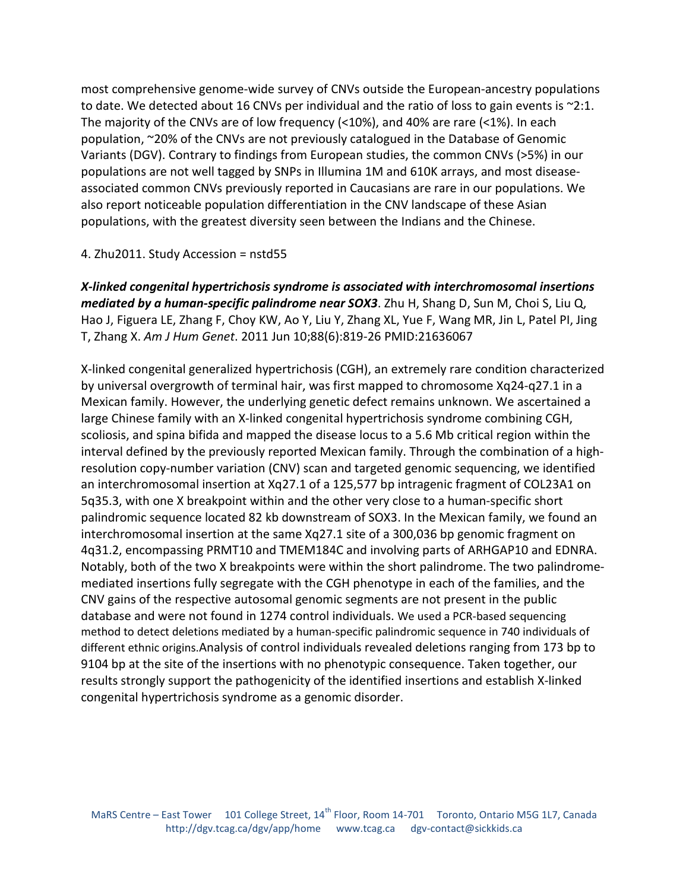most comprehensive genome-wide survey of CNVs outside the European-ancestry populations to date. We detected about 16 CNVs per individual and the ratio of loss to gain events is  $\approx$ 2:1. The majority of the CNVs are of low frequency (<10%), and 40% are rare (<1%). In each population, ~20% of the CNVs are not previously catalogued in the Database of Genomic Variants (DGV). Contrary to findings from European studies, the common CNVs (>5%) in our populations are not well tagged by SNPs in Illumina 1M and 610K arrays, and most diseaseassociated common CNVs previously reported in Caucasians are rare in our populations. We also report noticeable population differentiation in the CNV landscape of these Asian populations, with the greatest diversity seen between the Indians and the Chinese.

### 4. Zhu2011. Study Accession = nstd55

*X-linked congenital hypertrichosis syndrome is associated with interchromosomal insertions mediated by a human-specific palindrome near SOX3*. Zhu H, Shang D, Sun M, Choi S, Liu Q, Hao J, Figuera LE, Zhang F, Choy KW, Ao Y, Liu Y, Zhang XL, Yue F, Wang MR, Jin L, Patel PI, Jing T, Zhang X. *Am J Hum Genet*. 2011 Jun 10;88(6):819-26 PMID:21636067

X-linked congenital generalized hypertrichosis (CGH), an extremely rare condition characterized by universal overgrowth of terminal hair, was first mapped to chromosome Xq24-q27.1 in a Mexican family. However, the underlying genetic defect remains unknown. We ascertained a large Chinese family with an X-linked congenital hypertrichosis syndrome combining CGH, scoliosis, and spina bifida and mapped the disease locus to a 5.6 Mb critical region within the interval defined by the previously reported Mexican family. Through the combination of a highresolution copy-number variation (CNV) scan and targeted genomic sequencing, we identified an interchromosomal insertion at Xq27.1 of a 125,577 bp intragenic fragment of COL23A1 on 5q35.3, with one X breakpoint within and the other very close to a human-specific short palindromic sequence located 82 kb downstream of SOX3. In the Mexican family, we found an interchromosomal insertion at the same Xq27.1 site of a 300,036 bp genomic fragment on 4q31.2, encompassing PRMT10 and TMEM184C and involving parts of ARHGAP10 and EDNRA. Notably, both of the two X breakpoints were within the short palindrome. The two palindromemediated insertions fully segregate with the CGH phenotype in each of the families, and the CNV gains of the respective autosomal genomic segments are not present in the public database and were not found in 1274 control individuals. We used a PCR-based sequencing method to detect deletions mediated by a human-specific palindromic sequence in 740 individuals of different ethnic origins.Analysis of control individuals revealed deletions ranging from 173 bp to 9104 bp at the site of the insertions with no phenotypic consequence. Taken together, our results strongly support the pathogenicity of the identified insertions and establish X-linked congenital hypertrichosis syndrome as a genomic disorder.